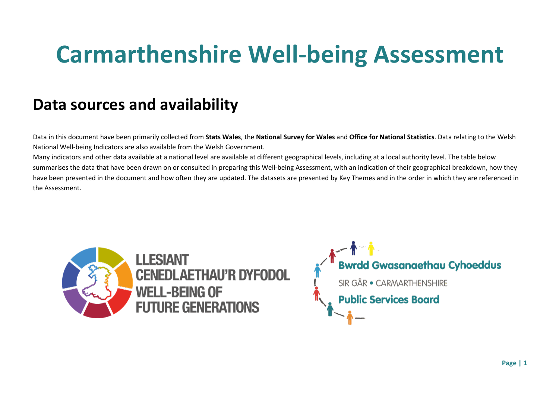# **Carmarthenshire Well-being Assessment**

# **Data sources and availability**

Data in this document have been primarily collected from **Stats Wales**, the **National Survey for Wales** and **Office for National Statistics**. Data relating to the Welsh National Well-being Indicators are also available from the Welsh Government.

Many indicators and other data available at a national level are available at different geographical levels, including at a local authority level. The table below summarises the data that have been drawn on or consulted in preparing this Well-being Assessment, with an indication of their geographical breakdown, how they have been presented in the document and how often they are updated. The datasets are presented by Key Themes and in the order in which they are referenced in the Assessment.



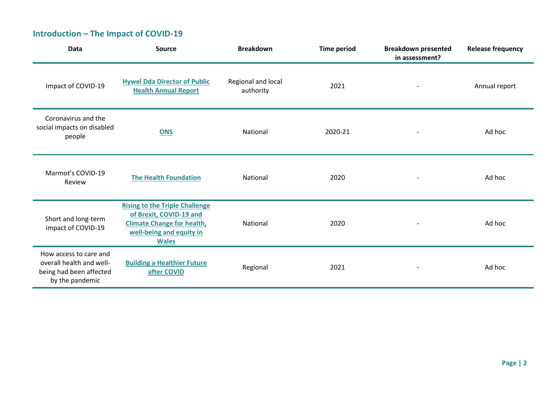## **Introduction – The Impact of COVID-19**

| <b>Data</b>                                                                                      | Source                                                                                                                                            | <b>Breakdown</b>                | <b>Time period</b> | <b>Breakdown presented</b><br>in assessment? | <b>Release frequency</b> |
|--------------------------------------------------------------------------------------------------|---------------------------------------------------------------------------------------------------------------------------------------------------|---------------------------------|--------------------|----------------------------------------------|--------------------------|
| Impact of COVID-19                                                                               | <b>Hywel Dda Director of Public</b><br><b>Health Annual Report</b>                                                                                | Regional and local<br>authority | 2021               |                                              | Annual report            |
| Coronavirus and the<br>social impacts on disabled<br>people                                      | <b>ONS</b>                                                                                                                                        | National                        | 2020-21            |                                              | Ad hoc                   |
| Marmot's COVID-19<br>Review                                                                      | <b>The Health Foundation</b>                                                                                                                      | National                        | 2020               |                                              | Ad hoc                   |
| Short and long-term<br>impact of COVID-19                                                        | <b>Rising to the Triple Challenge</b><br>of Brexit, COVID-19 and<br><b>Climate Change for health,</b><br>well-being and equity in<br><b>Wales</b> | National                        | 2020               |                                              | Ad hoc                   |
| How access to care and<br>overall health and well-<br>being had been affected<br>by the pandemic | <b>Building a Healthier Future</b><br>after COVID                                                                                                 | Regional                        | 2021               |                                              | Ad hoc                   |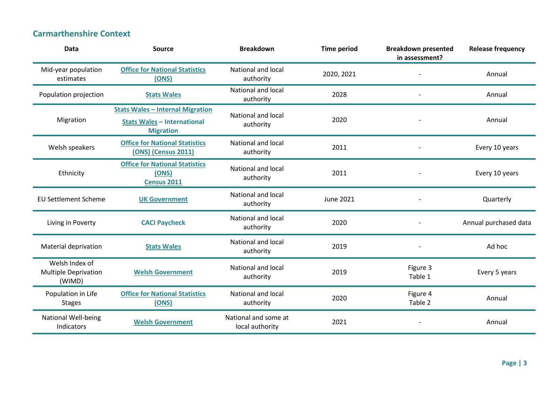#### **Carmarthenshire Context**

| <b>Data</b>                                             | <b>Source</b>                                                                                     | <b>Breakdown</b>                        | <b>Time period</b> | <b>Breakdown presented</b><br>in assessment? | <b>Release frequency</b> |
|---------------------------------------------------------|---------------------------------------------------------------------------------------------------|-----------------------------------------|--------------------|----------------------------------------------|--------------------------|
| Mid-year population<br>estimates                        | <b>Office for National Statistics</b><br>(ONS)                                                    | <b>National and local</b><br>authority  | 2020, 2021         |                                              | Annual                   |
| Population projection                                   | <b>Stats Wales</b>                                                                                | National and local<br>authority         | 2028               |                                              | Annual                   |
| Migration                                               | <b>Stats Wales - Internal Migration</b><br><b>Stats Wales - International</b><br><b>Migration</b> | National and local<br>authority         | 2020               |                                              | Annual                   |
| Welsh speakers                                          | <b>Office for National Statistics</b><br><b>(ONS) (Census 2011)</b>                               | <b>National and local</b><br>authority  | 2011               |                                              | Every 10 years           |
| Ethnicity                                               | <b>Office for National Statistics</b><br>(ONS)<br><b>Census 2011</b>                              | <b>National and local</b><br>authority  | 2011               |                                              | Every 10 years           |
| <b>EU Settlement Scheme</b>                             | <b>UK Government</b>                                                                              | National and local<br>authority         | <b>June 2021</b>   |                                              | Quarterly                |
| Living in Poverty                                       | <b>CACI Paycheck</b>                                                                              | <b>National and local</b><br>authority  | 2020               |                                              | Annual purchased data    |
| Material deprivation                                    | <b>Stats Wales</b>                                                                                | <b>National and local</b><br>authority  | 2019               |                                              | Ad hoc                   |
| Welsh Index of<br><b>Multiple Deprivation</b><br>(WIMD) | <b>Welsh Government</b>                                                                           | National and local<br>authority         | 2019               | Figure 3<br>Table 1                          | Every 5 years            |
| Population in Life<br><b>Stages</b>                     | <b>Office for National Statistics</b><br>(ONS)                                                    | National and local<br>authority         | 2020               | Figure 4<br>Table 2                          | Annual                   |
| <b>National Well-being</b><br>Indicators                | <b>Welsh Government</b>                                                                           | National and some at<br>local authority | 2021               |                                              | Annual                   |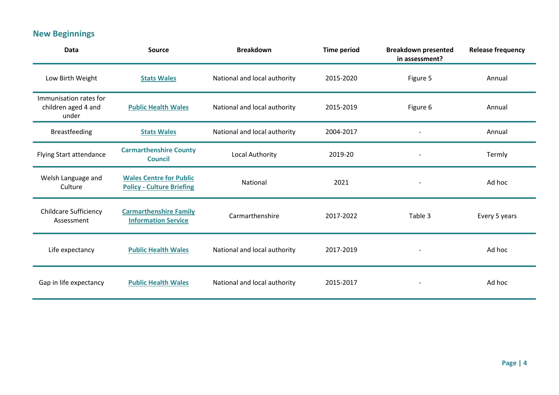# **New Beginnings**

| Data                                                   | <b>Source</b>                                                      | <b>Breakdown</b>             | <b>Time period</b> | <b>Breakdown presented</b><br>in assessment? | <b>Release frequency</b> |
|--------------------------------------------------------|--------------------------------------------------------------------|------------------------------|--------------------|----------------------------------------------|--------------------------|
| Low Birth Weight                                       | <b>Stats Wales</b>                                                 | National and local authority | 2015-2020          | Figure 5                                     | Annual                   |
| Immunisation rates for<br>children aged 4 and<br>under | <b>Public Health Wales</b>                                         | National and local authority | 2015-2019          | Figure 6                                     | Annual                   |
| <b>Breastfeeding</b>                                   | <b>Stats Wales</b>                                                 | National and local authority | 2004-2017          |                                              | Annual                   |
| Flying Start attendance                                | <b>Carmarthenshire County</b><br><b>Council</b>                    | Local Authority              | 2019-20            |                                              | Termly                   |
| Welsh Language and<br>Culture                          | <b>Wales Centre for Public</b><br><b>Policy - Culture Briefing</b> | National                     | 2021               |                                              | Ad hoc                   |
| <b>Childcare Sufficiency</b><br>Assessment             | <b>Carmarthenshire Family</b><br><b>Information Service</b>        | Carmarthenshire              | 2017-2022          | Table 3                                      | Every 5 years            |
| Life expectancy                                        | <b>Public Health Wales</b>                                         | National and local authority | 2017-2019          |                                              | Ad hoc                   |
| Gap in life expectancy                                 | <b>Public Health Wales</b>                                         | National and local authority | 2015-2017          |                                              | Ad hoc                   |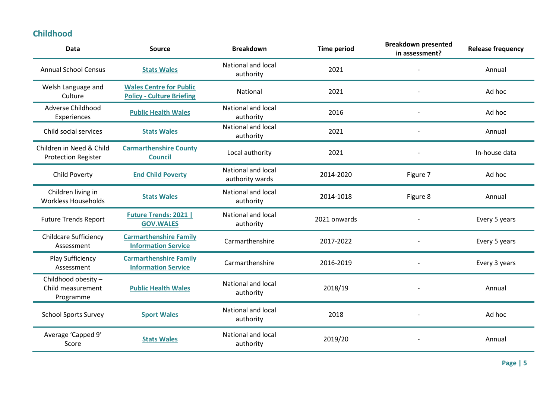#### **Childhood**

| <b>Source</b>                                                      | <b>Breakdown</b>                       | <b>Time period</b> | in assessment? | <b>Release frequency</b>   |
|--------------------------------------------------------------------|----------------------------------------|--------------------|----------------|----------------------------|
| <b>Stats Wales</b>                                                 | National and local<br>authority        | 2021               |                | Annual                     |
| <b>Wales Centre for Public</b><br><b>Policy - Culture Briefing</b> | National                               | 2021               |                | Ad hoc                     |
| <b>Public Health Wales</b>                                         | <b>National and local</b><br>authority | 2016               |                | Ad hoc                     |
| <b>Stats Wales</b>                                                 | National and local<br>authority        | 2021               |                | Annual                     |
| <b>Carmarthenshire County</b><br><b>Council</b>                    | Local authority                        | 2021               |                | In-house data              |
| <b>End Child Poverty</b>                                           | National and local<br>authority wards  | 2014-2020          | Figure 7       | Ad hoc                     |
| <b>Stats Wales</b>                                                 | National and local<br>authority        | 2014-1018          | Figure 8       | Annual                     |
| <b>Future Trends: 2021  </b><br><b>GOV.WALES</b>                   | National and local<br>authority        | 2021 onwards       |                | Every 5 years              |
| <b>Carmarthenshire Family</b><br><b>Information Service</b>        | Carmarthenshire                        | 2017-2022          |                | Every 5 years              |
| <b>Carmarthenshire Family</b><br><b>Information Service</b>        | Carmarthenshire                        | 2016-2019          |                | Every 3 years              |
| <b>Public Health Wales</b>                                         | <b>National and local</b><br>authority | 2018/19            |                | Annual                     |
| <b>Sport Wales</b>                                                 | <b>National and local</b><br>authority | 2018               |                | Ad hoc                     |
| <b>Stats Wales</b>                                                 | National and local<br>authority        | 2019/20            |                | Annual                     |
|                                                                    |                                        |                    |                | <b>Breakdown presented</b> |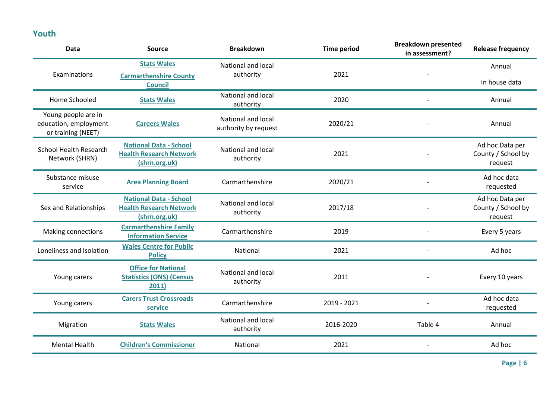## **Youth**

| <b>Data</b>                                                        | <b>Source</b>                                                                    | <b>Breakdown</b>                                  | <b>Time period</b> | <b>Breakdown presented</b><br>in assessment? | <b>Release frequency</b>                         |
|--------------------------------------------------------------------|----------------------------------------------------------------------------------|---------------------------------------------------|--------------------|----------------------------------------------|--------------------------------------------------|
|                                                                    | <b>Stats Wales</b>                                                               | National and local                                |                    |                                              | Annual                                           |
| Examinations                                                       | <b>Carmarthenshire County</b><br><b>Council</b>                                  | authority                                         | 2021               |                                              | In house data                                    |
| Home Schooled                                                      | <b>Stats Wales</b>                                                               | National and local<br>authority                   | 2020               |                                              | Annual                                           |
| Young people are in<br>education, employment<br>or training (NEET) | <b>Careers Wales</b>                                                             | <b>National and local</b><br>authority by request | 2020/21            |                                              | Annual                                           |
| <b>School Health Research</b><br>Network (SHRN)                    | <b>National Data - School</b><br><b>Health Research Network</b><br>(shrn.org.uk) | National and local<br>authority                   | 2021               |                                              | Ad hoc Data per<br>County / School by<br>request |
| Substance misuse<br>service                                        | <b>Area Planning Board</b>                                                       | Carmarthenshire                                   | 2020/21            |                                              | Ad hoc data<br>requested                         |
| Sex and Relationships                                              | <b>National Data - School</b><br><b>Health Research Network</b><br>(shrn.org.uk) | National and local<br>authority                   | 2017/18            |                                              | Ad hoc Data per<br>County / School by<br>request |
| Making connections                                                 | <b>Carmarthenshire Family</b><br><b>Information Service</b>                      | Carmarthenshire                                   | 2019               |                                              | Every 5 years                                    |
| Loneliness and Isolation                                           | <b>Wales Centre for Public</b><br><b>Policy</b>                                  | National                                          | 2021               |                                              | Ad hoc                                           |
| Young carers                                                       | <b>Office for National</b><br><b>Statistics (ONS) (Census</b><br>2011)           | National and local<br>authority                   | 2011               |                                              | Every 10 years                                   |
| Young carers                                                       | <b>Carers Trust Crossroads</b><br>service                                        | Carmarthenshire                                   | 2019 - 2021        |                                              | Ad hoc data<br>requested                         |
| Migration                                                          | <b>Stats Wales</b>                                                               | National and local<br>authority                   | 2016-2020          | Table 4                                      | Annual                                           |
| <b>Mental Health</b>                                               | <b>Children's Commissioner</b>                                                   | National                                          | 2021               |                                              | Ad hoc                                           |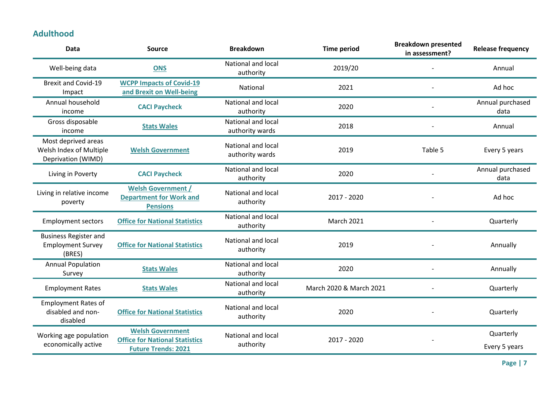#### **Adulthood**

|                                                                      |                                                                                                |                                        |                         | in assessment? | <b>Release frequency</b>   |
|----------------------------------------------------------------------|------------------------------------------------------------------------------------------------|----------------------------------------|-------------------------|----------------|----------------------------|
| Well-being data                                                      | <b>ONS</b>                                                                                     | National and local<br>authority        | 2019/20                 |                | Annual                     |
| <b>Brexit and Covid-19</b><br>Impact                                 | <b>WCPP Impacts of Covid-19</b><br>and Brexit on Well-being                                    | National                               | 2021                    |                | Ad hoc                     |
| Annual household<br>income                                           | <b>CACI Paycheck</b>                                                                           | National and local<br>authority        | 2020                    |                | Annual purchased<br>data   |
| Gross disposable<br>income                                           | <b>Stats Wales</b>                                                                             | National and local<br>authority wards  | 2018                    |                | Annual                     |
| Most deprived areas<br>Welsh Index of Multiple<br>Deprivation (WIMD) | <b>Welsh Government</b>                                                                        | National and local<br>authority wards  | 2019                    | Table 5        | Every 5 years              |
| Living in Poverty                                                    | <b>CACI Paycheck</b>                                                                           | National and local<br>authority        | 2020                    |                | Annual purchased<br>data   |
| Living in relative income<br>poverty                                 | <b>Welsh Government /</b><br><b>Department for Work and</b><br><b>Pensions</b>                 | National and local<br>authority        | 2017 - 2020             |                | Ad hoc                     |
| <b>Employment sectors</b>                                            | <b>Office for National Statistics</b>                                                          | National and local<br>authority        | <b>March 2021</b>       |                | Quarterly                  |
| <b>Business Register and</b><br><b>Employment Survey</b><br>(BRES)   | <b>Office for National Statistics</b>                                                          | National and local<br>authority        | 2019                    |                | Annually                   |
| <b>Annual Population</b><br>Survey                                   | <b>Stats Wales</b>                                                                             | <b>National and local</b><br>authority | 2020                    |                | Annually                   |
| <b>Employment Rates</b>                                              | <b>Stats Wales</b>                                                                             | <b>National and local</b><br>authority | March 2020 & March 2021 |                | Quarterly                  |
| <b>Employment Rates of</b><br>disabled and non-<br>disabled          | <b>Office for National Statistics</b>                                                          | National and local<br>authority        | 2020                    |                | Quarterly                  |
| Working age population<br>economically active                        | <b>Welsh Government</b><br><b>Office for National Statistics</b><br><b>Future Trends: 2021</b> | <b>National and local</b><br>authority | 2017 - 2020             |                | Quarterly<br>Every 5 years |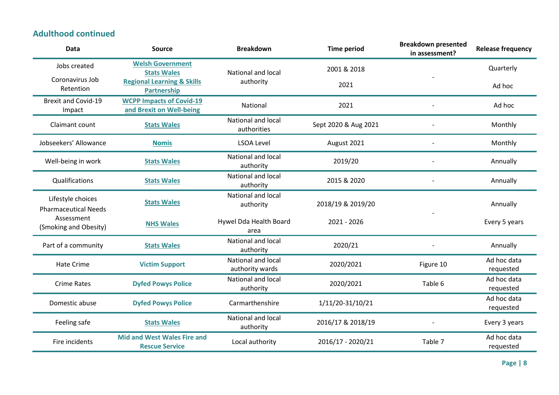#### **Adulthood continued**

| Data                                             | <b>Source</b>                                               | <b>Breakdown</b>                       | <b>Time period</b>   | <b>Breakdown presented</b><br>in assessment? | <b>Release frequency</b> |
|--------------------------------------------------|-------------------------------------------------------------|----------------------------------------|----------------------|----------------------------------------------|--------------------------|
| Jobs created                                     | <b>Welsh Government</b><br><b>Stats Wales</b>               | National and local                     | 2001 & 2018          |                                              | Quarterly                |
| Coronavirus Job<br>Retention                     | <b>Regional Learning &amp; Skills</b><br><b>Partnership</b> | authority                              | 2021                 |                                              | Ad hoc                   |
| <b>Brexit and Covid-19</b><br>Impact             | <b>WCPP Impacts of Covid-19</b><br>and Brexit on Well-being | National                               | 2021                 |                                              | Ad hoc                   |
| Claimant count                                   | <b>Stats Wales</b>                                          | National and local<br>authorities      | Sept 2020 & Aug 2021 |                                              | Monthly                  |
| Jobseekers' Allowance                            | <b>Nomis</b>                                                | <b>LSOA Level</b>                      | August 2021          |                                              | Monthly                  |
| Well-being in work                               | <b>Stats Wales</b>                                          | National and local<br>authority        | 2019/20              |                                              | Annually                 |
| Qualifications                                   | <b>Stats Wales</b>                                          | <b>National and local</b><br>authority | 2015 & 2020          |                                              | Annually                 |
| Lifestyle choices<br><b>Pharmaceutical Needs</b> | <b>Stats Wales</b>                                          | National and local<br>authority        | 2018/19 & 2019/20    |                                              | Annually                 |
| Assessment<br>(Smoking and Obesity)              | <b>NHS Wales</b>                                            | Hywel Dda Health Board<br>area         | 2021 - 2026          |                                              | Every 5 years            |
| Part of a community                              | <b>Stats Wales</b>                                          | <b>National and local</b><br>authority | 2020/21              |                                              | Annually                 |
| Hate Crime                                       | <b>Victim Support</b>                                       | National and local<br>authority wards  | 2020/2021            | Figure 10                                    | Ad hoc data<br>requested |
| <b>Crime Rates</b>                               | <b>Dyfed Powys Police</b>                                   | National and local<br>authority        | 2020/2021            | Table 6                                      | Ad hoc data<br>requested |
| Domestic abuse                                   | <b>Dyfed Powys Police</b>                                   | Carmarthenshire                        | 1/11/20-31/10/21     |                                              | Ad hoc data<br>requested |
| Feeling safe                                     | <b>Stats Wales</b>                                          | National and local<br>authority        | 2016/17 & 2018/19    |                                              | Every 3 years            |
| Fire incidents                                   | <b>Mid and West Wales Fire and</b><br><b>Rescue Service</b> | Local authority                        | 2016/17 - 2020/21    | Table 7                                      | Ad hoc data<br>requested |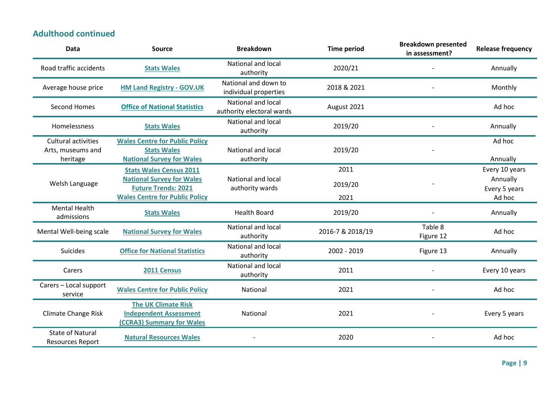#### **Adulthood continued**

| <b>Data</b>                                                 | <b>Source</b>                                                                                   | <b>Breakdown</b>                                | <b>Time period</b> | <b>Breakdown presented</b><br>in assessment? | <b>Release frequency</b>  |
|-------------------------------------------------------------|-------------------------------------------------------------------------------------------------|-------------------------------------------------|--------------------|----------------------------------------------|---------------------------|
| Road traffic accidents                                      | <b>Stats Wales</b>                                                                              | <b>National and local</b><br>authority          | 2020/21            |                                              | Annually                  |
| Average house price                                         | <b>HM Land Registry - GOV.UK</b>                                                                | National and down to<br>individual properties   | 2018 & 2021        |                                              | Monthly                   |
| Second Homes                                                | <b>Office of National Statistics</b>                                                            | National and local<br>authority electoral wards | August 2021        |                                              | Ad hoc                    |
| Homelessness                                                | <b>Stats Wales</b>                                                                              | National and local<br>authority                 | 2019/20            |                                              | Annually                  |
| <b>Cultural activities</b><br>Arts, museums and<br>heritage | <b>Wales Centre for Public Policy</b><br><b>Stats Wales</b><br><b>National Survey for Wales</b> | <b>National and local</b><br>authority          | 2019/20            |                                              | Ad hoc<br>Annually        |
|                                                             | <b>Stats Wales Census 2011</b>                                                                  |                                                 | 2011               |                                              | Every 10 years            |
| Welsh Language                                              | <b>National Survey for Wales</b><br><b>Future Trends: 2021</b>                                  | National and local<br>authority wards           | 2019/20            |                                              | Annually<br>Every 5 years |
|                                                             | <b>Wales Centre for Public Policy</b>                                                           |                                                 | 2021               |                                              | Ad hoc                    |
| <b>Mental Health</b><br>admissions                          | <b>Stats Wales</b>                                                                              | <b>Health Board</b>                             | 2019/20            |                                              | Annually                  |
| Mental Well-being scale                                     | <b>National Survey for Wales</b>                                                                | National and local<br>authority                 | 2016-7 & 2018/19   | Table 8<br>Figure 12                         | Ad hoc                    |
| Suicides                                                    | <b>Office for National Statistics</b>                                                           | National and local<br>authority                 | 2002 - 2019        | Figure 13                                    | Annually                  |
| Carers                                                      | 2011 Census                                                                                     | National and local<br>authority                 | 2011               |                                              | Every 10 years            |
| Carers - Local support<br>service                           | <b>Wales Centre for Public Policy</b>                                                           | National                                        | 2021               |                                              | Ad hoc                    |
| <b>Climate Change Risk</b>                                  | <b>The UK Climate Risk</b><br><b>Independent Assessment</b><br>(CCRA3) Summary for Wales        | National                                        | 2021               |                                              | Every 5 years             |
| <b>State of Natural</b><br><b>Resources Report</b>          | <b>Natural Resources Wales</b>                                                                  |                                                 | 2020               |                                              | Ad hoc                    |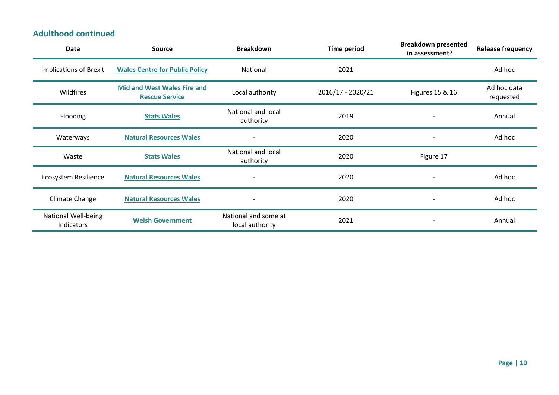#### **Adulthood continued**

| Data                                     | <b>Source</b>                                               | <b>Breakdown</b>                        | <b>Time period</b> | <b>Breakdown presented</b><br>in assessment? | <b>Release frequency</b> |
|------------------------------------------|-------------------------------------------------------------|-----------------------------------------|--------------------|----------------------------------------------|--------------------------|
| <b>Implications of Brexit</b>            | <b>Wales Centre for Public Policy</b>                       | National                                | 2021               | $\overline{a}$                               | Ad hoc                   |
| Wildfires                                | <b>Mid and West Wales Fire and</b><br><b>Rescue Service</b> | Local authority                         | 2016/17 - 2020/21  | Figures 15 & 16                              | Ad hoc data<br>requested |
| <b>Flooding</b>                          | <b>Stats Wales</b>                                          | National and local<br>authority         | 2019               |                                              | Annual                   |
| Waterways                                | <b>Natural Resources Wales</b>                              | $\qquad \qquad \blacksquare$            | 2020               | $\overline{\phantom{a}}$                     | Ad hoc                   |
| Waste                                    | <b>Stats Wales</b>                                          | National and local<br>authority         | 2020               | Figure 17                                    |                          |
| <b>Ecosystem Resilience</b>              | <b>Natural Resources Wales</b>                              | $\overline{\phantom{0}}$                | 2020               | $\blacksquare$                               | Ad hoc                   |
| Climate Change                           | <b>Natural Resources Wales</b>                              | $\qquad \qquad \blacksquare$            | 2020               | $\overline{\phantom{a}}$                     | Ad hoc                   |
| <b>National Well-being</b><br>Indicators | <b>Welsh Government</b>                                     | National and some at<br>local authority | 2021               | $\overline{\phantom{a}}$                     | Annual                   |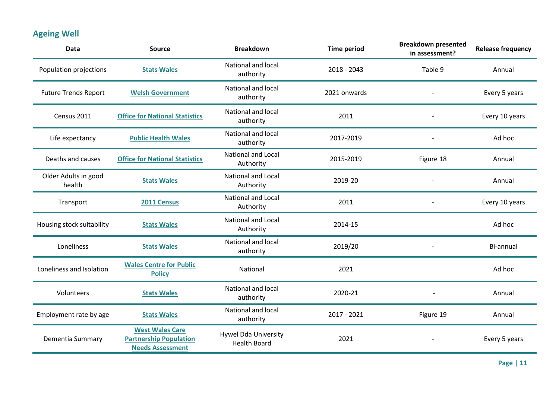# **Ageing Well**

| <b>Data</b>                    | <b>Source</b>                                                                      | <b>Breakdown</b>                                   | <b>Time period</b> | <b>Breakdown presented</b><br>in assessment? | <b>Release frequency</b> |
|--------------------------------|------------------------------------------------------------------------------------|----------------------------------------------------|--------------------|----------------------------------------------|--------------------------|
| Population projections         | <b>Stats Wales</b>                                                                 | National and local<br>authority                    | 2018 - 2043        | Table 9                                      | Annual                   |
| <b>Future Trends Report</b>    | <b>Welsh Government</b>                                                            | National and local<br>authority                    | 2021 onwards       |                                              | Every 5 years            |
| Census 2011                    | <b>Office for National Statistics</b>                                              | <b>National and local</b><br>authority             | 2011               |                                              | Every 10 years           |
| Life expectancy                | <b>Public Health Wales</b>                                                         | National and local<br>authority                    | 2017-2019          |                                              | Ad hoc                   |
| Deaths and causes              | <b>Office for National Statistics</b>                                              | <b>National and Local</b><br>Authority             | 2015-2019          | Figure 18                                    | Annual                   |
| Older Adults in good<br>health | <b>Stats Wales</b>                                                                 | <b>National and Local</b><br>Authority             | 2019-20            |                                              | Annual                   |
| Transport                      | 2011 Census                                                                        | <b>National and Local</b><br>Authority             | 2011               |                                              | Every 10 years           |
| Housing stock suitability      | <b>Stats Wales</b>                                                                 | <b>National and Local</b><br>Authority             | 2014-15            |                                              | Ad hoc                   |
| Loneliness                     | <b>Stats Wales</b>                                                                 | National and local<br>authority                    | 2019/20            |                                              | Bi-annual                |
| Loneliness and Isolation       | <b>Wales Centre for Public</b><br><b>Policy</b>                                    | National                                           | 2021               |                                              | Ad hoc                   |
| Volunteers                     | <b>Stats Wales</b>                                                                 | National and local<br>authority                    | 2020-21            |                                              | Annual                   |
| Employment rate by age         | <b>Stats Wales</b>                                                                 | National and local<br>authority                    | 2017 - 2021        | Figure 19                                    | Annual                   |
| Dementia Summary               | <b>West Wales Care</b><br><b>Partnership Population</b><br><b>Needs Assessment</b> | <b>Hywel Dda University</b><br><b>Health Board</b> | 2021               |                                              | Every 5 years            |